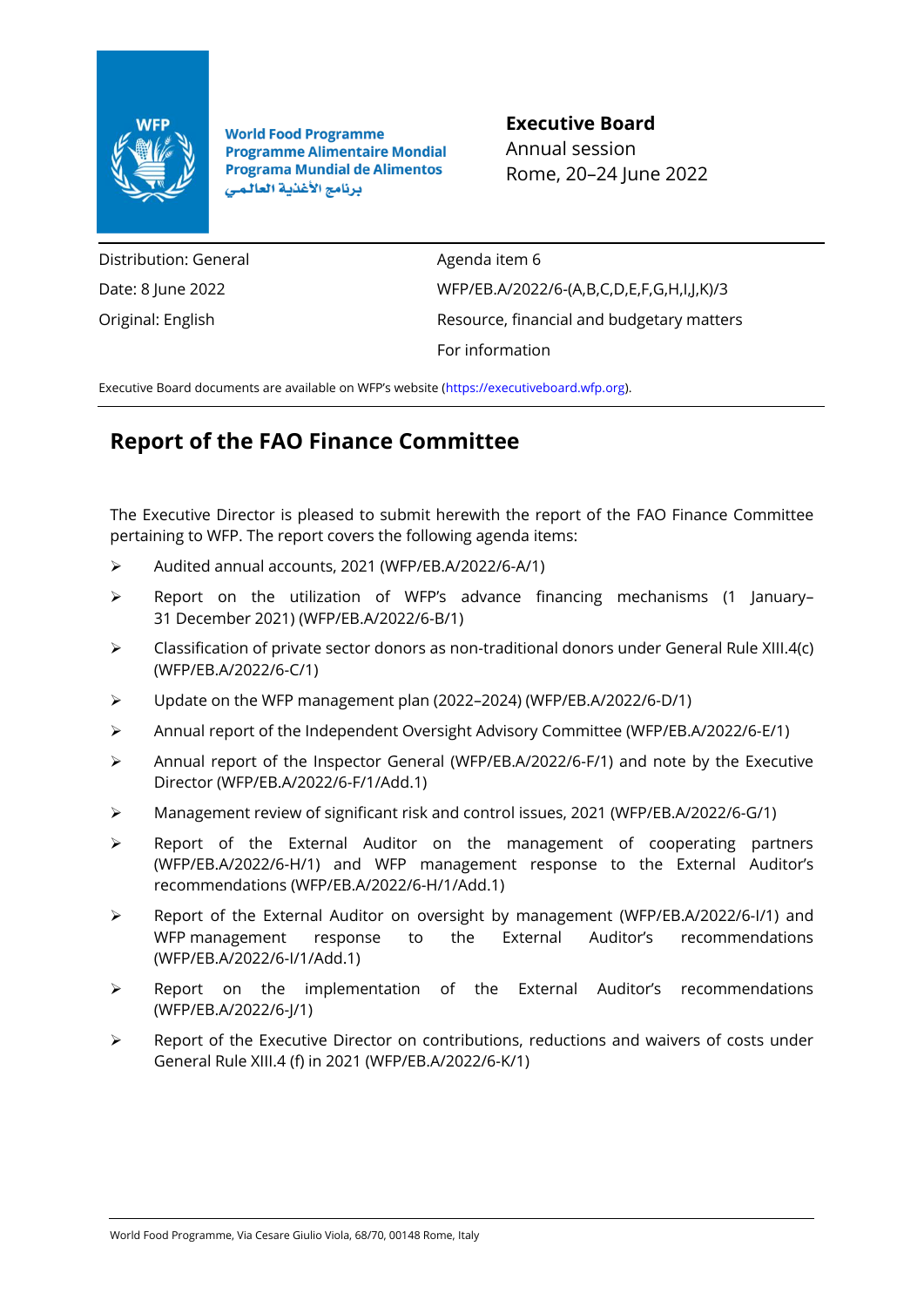

**World Food Programme Programme Alimentaire Mondial Programa Mundial de Alimentos** برنامج الأغذية العالمي

**Executive Board** Annual session Rome, 20–24 June 2022

Distribution: General Date: 8 June 2022 Original: English

Agenda item 6 WFP/EB.A/2022/6-(A,B,C,D,E,F,G,H,I,J,K)/3 Resource, financial and budgetary matters For information

Executive Board documents are available on WFP's website ([https://executiveboard.wfp.org\)](https://executiveboard.wfp.org/).

## **Report of the FAO Finance Committee**

The Executive Director is pleased to submit herewith the report of the FAO Finance Committee pertaining to WFP. The report covers the following agenda items:

- ➢ Audited annual accounts, 2021 (WFP/EB.A/2022/6-A/1)
- ➢ Report on the utilization of WFP's advance financing mechanisms (1 January– 31 December 2021) (WFP/EB.A/2022/6-B/1)
- $\triangleright$  Classification of private sector donors as non-traditional donors under General Rule XIII.4(c) (WFP/EB.A/2022/6-C/1)
- ➢ Update on the WFP management plan (2022–2024) (WFP/EB.A/2022/6-D/1)
- ➢ Annual report of the Independent Oversight Advisory Committee (WFP/EB.A/2022/6-E/1)
- ➢ Annual report of the Inspector General (WFP/EB.A/2022/6-F/1) and note by the Executive Director (WFP/EB.A/2022/6-F/1/Add.1)
- ➢ Management review of significant risk and control issues, 2021 (WFP/EB.A/2022/6-G/1)
- ➢ Report of the External Auditor on the management of cooperating partners (WFP/EB.A/2022/6-H/1) and WFP management response to the External Auditor's recommendations (WFP/EB.A/2022/6-H/1/Add.1)
- ➢ Report of the External Auditor on oversight by management (WFP/EB.A/2022/6-I/1) and WFP management response to the External Auditor's recommendations (WFP/EB.A/2022/6-I/1/Add.1)
- ➢ Report on the implementation of the External Auditor's recommendations (WFP/EB.A/2022/6-J/1)
- ➢ Report of the Executive Director on contributions, reductions and waivers of costs under General Rule XIII.4 (f) in 2021 (WFP/EB.A/2022/6-K/1)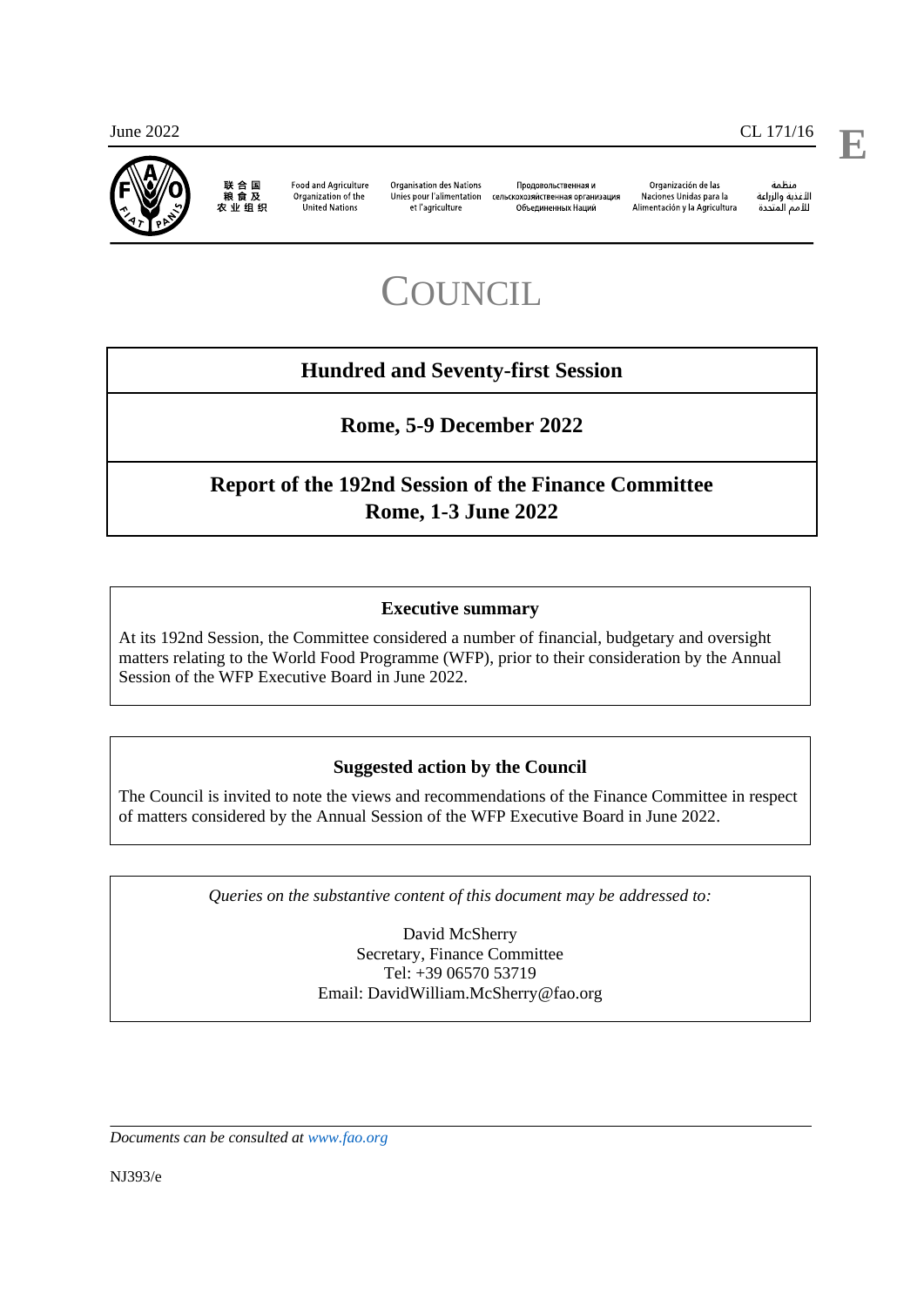

联 合 国<br>粮 食 及 **Food and Agriculture** 农业组织

Organization of the **United Nations** 

Organisation des Nations Unies pour l'alimentation et l'agriculture

Проловольственная и сельскохозяйственная организация Объелиненных Наший

Organización de las Naciones Unidas para la Alimentación y la Agricultura

änhin ستمت<br>ال*أ*غذية والزراعة للأمم المتحدة

# **COUNCIL**

## **Hundred and Seventy-first Session**

**Rome, 5-9 December 2022**

## **Report of the 192nd Session of the Finance Committee Rome, 1-3 June 2022**

#### **Executive summary**

At its 192nd Session, the Committee considered a number of financial, budgetary and oversight matters relating to the World Food Programme (WFP), prior to their consideration by the Annual Session of the WFP Executive Board in June 2022.

#### **Suggested action by the Council**

The Council is invited to note the views and recommendations of the Finance Committee in respect of matters considered by the Annual Session of the WFP Executive Board in June 2022.

*Queries on the substantive content of this document may be addressed to:*

David McSherry Secretary, Finance Committee Tel: +39 06570 53719 Email: DavidWilliam.McSherry@fao.org

*Documents can be consulted at [www.fao.org](http://www.fao.org/)*

NJ393/e

**E**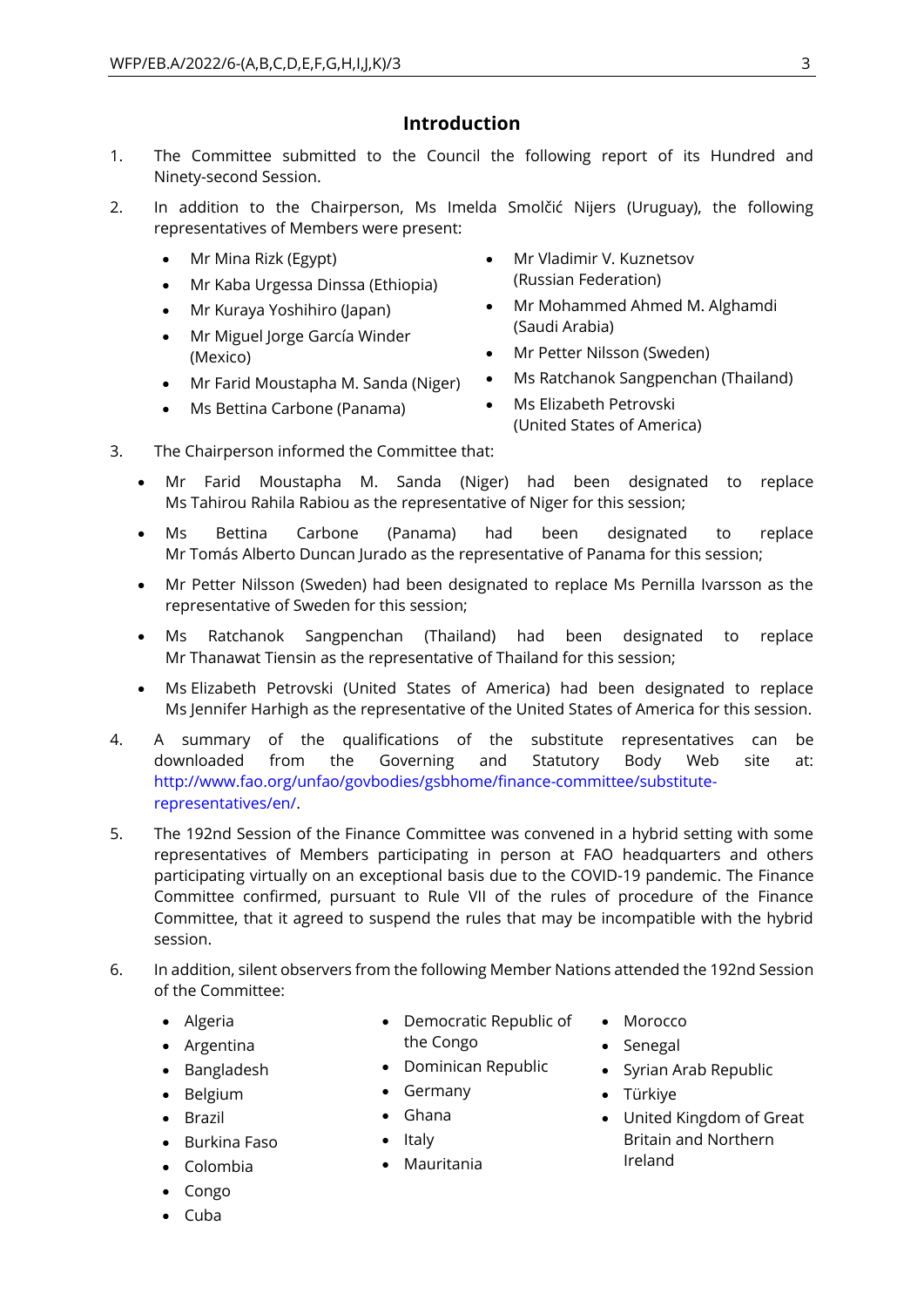## **Introduction**

- 1. The Committee submitted to the Council the following report of its Hundred and Ninety-second Session.
- 2. In addition to the Chairperson, Ms Imelda Smolčić Nijers (Uruguay), the following representatives of Members were present:
	- Mr Mina Rizk (Egypt)
	- Mr Kaba Urgessa Dinssa (Ethiopia)
	- Mr Kuraya Yoshihiro (Japan)
	- Mr Miguel Jorge García Winder (Mexico)
	- Mr Farid Moustapha M. Sanda (Niger)
	- Ms Bettina Carbone (Panama)
- Mr Vladimir V. Kuznetsov (Russian Federation)
- Mr Mohammed Ahmed M. Alghamdi (Saudi Arabia)
- Mr Petter Nilsson (Sweden)
- Ms Ratchanok Sangpenchan (Thailand)
- Ms Elizabeth Petrovski (United States of America)
- 3. The Chairperson informed the Committee that:
	- Mr Farid Moustapha M. Sanda (Niger) had been designated to replace Ms Tahirou Rahila Rabiou as the representative of Niger for this session;
	- Ms Bettina Carbone (Panama) had been designated to replace Mr Tomás Alberto Duncan Jurado as the representative of Panama for this session;
	- Mr Petter Nilsson (Sweden) had been designated to replace Ms Pernilla Ivarsson as the representative of Sweden for this session;
	- Ms Ratchanok Sangpenchan (Thailand) had been designated to replace Mr Thanawat Tiensin as the representative of Thailand for this session;
	- Ms Elizabeth Petrovski (United States of America) had been designated to replace Ms Jennifer Harhigh as the representative of the United States of America for this session.
- 4. A summary of the qualifications of the substitute representatives can be downloaded from the Governing and Statutory Body Web site at: [http://www.fao.org/unfao/govbodies/gsbhome/finance-committee/substitute](http://www.fao.org/unfao/govbodies/gsbhome/finance-committee/substitute-representatives/en/)[representatives/en/.](http://www.fao.org/unfao/govbodies/gsbhome/finance-committee/substitute-representatives/en/)
- 5. The 192nd Session of the Finance Committee was convened in a hybrid setting with some representatives of Members participating in person at FAO headquarters and others participating virtually on an exceptional basis due to the COVID-19 pandemic. The Finance Committee confirmed, pursuant to Rule VII of the rules of procedure of the Finance Committee, that it agreed to suspend the rules that may be incompatible with the hybrid session.
- 6. In addition, silent observers from the following Member Nations attended the 192nd Session of the Committee:
	- Algeria
	- Argentina
	- Bangladesh
	- Belgium
	- Brazil
	- Burkina Faso
	- Colombia
	- Congo
	- Cuba
- Democratic Republic of the Congo
- Dominican Republic
- Germany
- Ghana
- Italy
- Mauritania
- Morocco
- Senegal
- Syrian Arab Republic
- Türkiye
- United Kingdom of Great Britain and Northern Ireland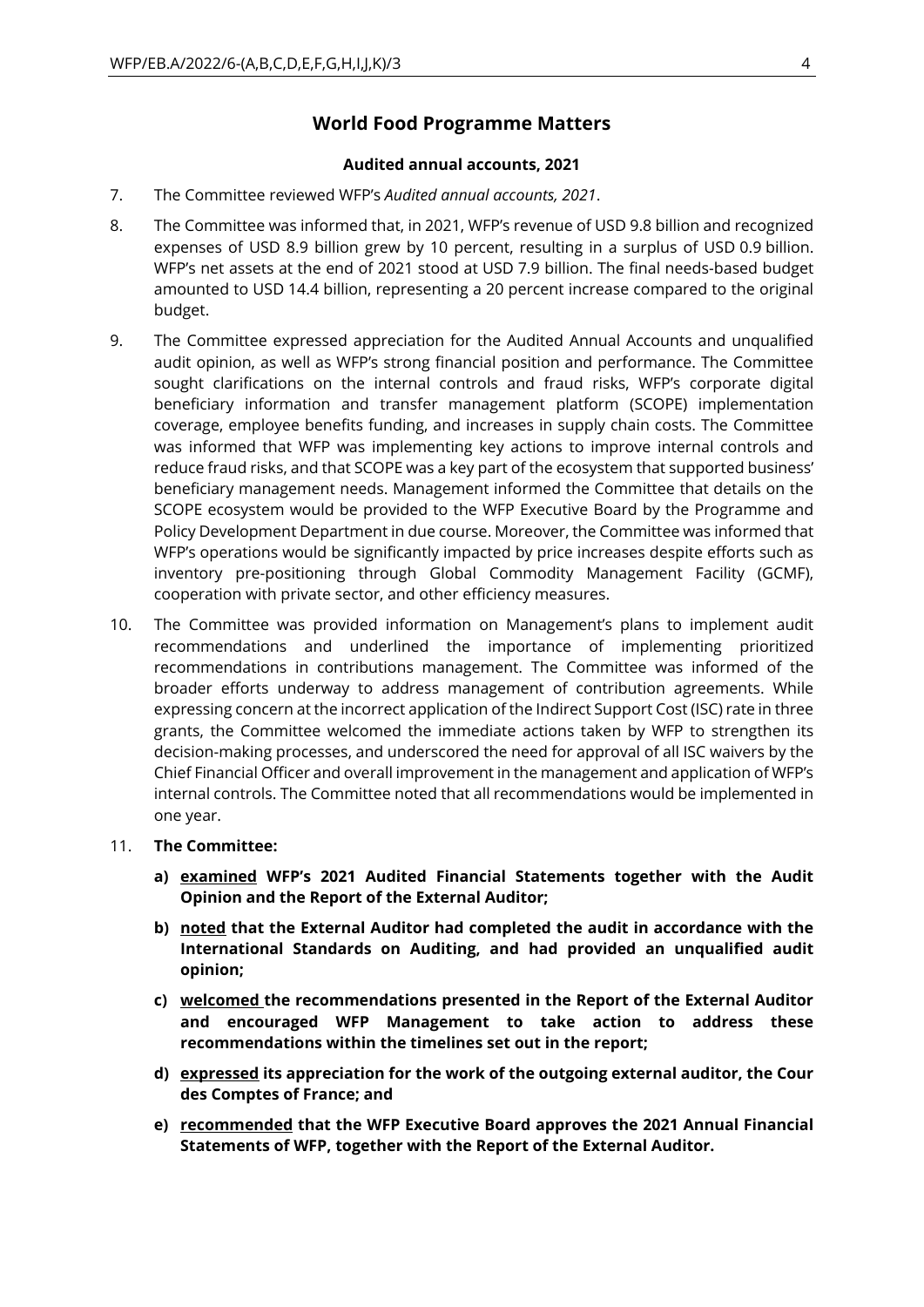### **World Food Programme Matters**

#### **Audited annual accounts, 2021**

- 7. The Committee reviewed WFP's *Audited annual accounts, 2021*.
- 8. The Committee was informed that, in 2021, WFP's revenue of USD 9.8 billion and recognized expenses of USD 8.9 billion grew by 10 percent, resulting in a surplus of USD 0.9 billion. WFP's net assets at the end of 2021 stood at USD 7.9 billion. The final needs-based budget amounted to USD 14.4 billion, representing a 20 percent increase compared to the original budget.
- 9. The Committee expressed appreciation for the Audited Annual Accounts and unqualified audit opinion, as well as WFP's strong financial position and performance. The Committee sought clarifications on the internal controls and fraud risks, WFP's corporate digital beneficiary information and transfer management platform (SCOPE) implementation coverage, employee benefits funding, and increases in supply chain costs. The Committee was informed that WFP was implementing key actions to improve internal controls and reduce fraud risks, and that SCOPE was a key part of the ecosystem that supported business' beneficiary management needs. Management informed the Committee that details on the SCOPE ecosystem would be provided to the WFP Executive Board by the Programme and Policy Development Department in due course. Moreover, the Committee was informed that WFP's operations would be significantly impacted by price increases despite efforts such as inventory pre-positioning through Global Commodity Management Facility (GCMF), cooperation with private sector, and other efficiency measures.
- 10. The Committee was provided information on Management's plans to implement audit recommendations and underlined the importance of implementing prioritized recommendations in contributions management. The Committee was informed of the broader efforts underway to address management of contribution agreements. While expressing concern at the incorrect application of the Indirect Support Cost (ISC) rate in three grants, the Committee welcomed the immediate actions taken by WFP to strengthen its decision-making processes, and underscored the need for approval of all ISC waivers by the Chief Financial Officer and overall improvement in the management and application of WFP's internal controls. The Committee noted that all recommendations would be implemented in one year.

#### 11. **The Committee:**

- **a) examined WFP's 2021 Audited Financial Statements together with the Audit Opinion and the Report of the External Auditor;**
- **b) noted that the External Auditor had completed the audit in accordance with the International Standards on Auditing, and had provided an unqualified audit opinion;**
- **c) welcomed the recommendations presented in the Report of the External Auditor and encouraged WFP Management to take action to address these recommendations within the timelines set out in the report;**
- **d) expressed its appreciation for the work of the outgoing external auditor, the Cour des Comptes of France; and**
- **e) recommended that the WFP Executive Board approves the 2021 Annual Financial Statements of WFP, together with the Report of the External Auditor.**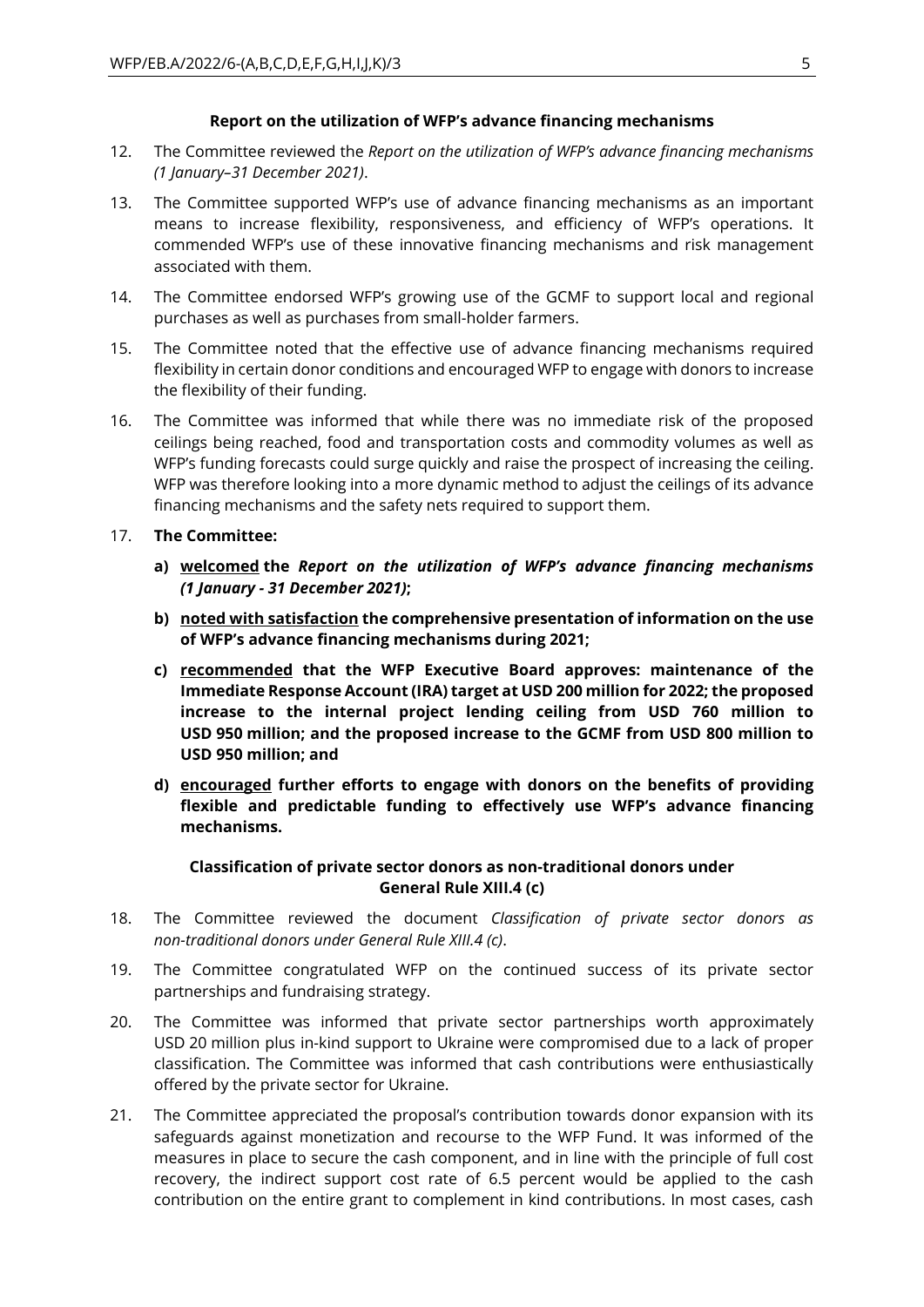#### **Report on the utilization of WFP's advance financing mechanisms**

- 12. The Committee reviewed the *Report on the utilization of WFP's advance financing mechanisms (1 January–31 December 2021)*.
- 13. The Committee supported WFP's use of advance financing mechanisms as an important means to increase flexibility, responsiveness, and efficiency of WFP's operations. It commended WFP's use of these innovative financing mechanisms and risk management associated with them.
- 14. The Committee endorsed WFP's growing use of the GCMF to support local and regional purchases as well as purchases from small-holder farmers.
- 15. The Committee noted that the effective use of advance financing mechanisms required flexibility in certain donor conditions and encouraged WFP to engage with donors to increase the flexibility of their funding.
- 16. The Committee was informed that while there was no immediate risk of the proposed ceilings being reached, food and transportation costs and commodity volumes as well as WFP's funding forecasts could surge quickly and raise the prospect of increasing the ceiling. WFP was therefore looking into a more dynamic method to adjust the ceilings of its advance financing mechanisms and the safety nets required to support them.
- 17. **The Committee:** 
	- **a) welcomed the** *Report on the utilization of WFP's advance financing mechanisms (1 January - 31 December 2021)***;**
	- **b) noted with satisfaction the comprehensive presentation of information on the use of WFP's advance financing mechanisms during 2021;**
	- **c) recommended that the WFP Executive Board approves: maintenance of the Immediate Response Account (IRA) target at USD 200 million for 2022; the proposed increase to the internal project lending ceiling from USD 760 million to USD 950 million; and the proposed increase to the GCMF from USD 800 million to USD 950 million; and**
	- **d) encouraged further efforts to engage with donors on the benefits of providing flexible and predictable funding to effectively use WFP's advance financing mechanisms.**

#### **Classification of private sector donors as non-traditional donors under General Rule XIII.4 (c)**

- 18. The Committee reviewed the document *Classification of private sector donors as non-traditional donors under General Rule XIII.4 (c)*.
- 19. The Committee congratulated WFP on the continued success of its private sector partnerships and fundraising strategy.
- 20. The Committee was informed that private sector partnerships worth approximately USD 20 million plus in-kind support to Ukraine were compromised due to a lack of proper classification. The Committee was informed that cash contributions were enthusiastically offered by the private sector for Ukraine.
- 21. The Committee appreciated the proposal's contribution towards donor expansion with its safeguards against monetization and recourse to the WFP Fund. It was informed of the measures in place to secure the cash component, and in line with the principle of full cost recovery, the indirect support cost rate of 6.5 percent would be applied to the cash contribution on the entire grant to complement in kind contributions. In most cases, cash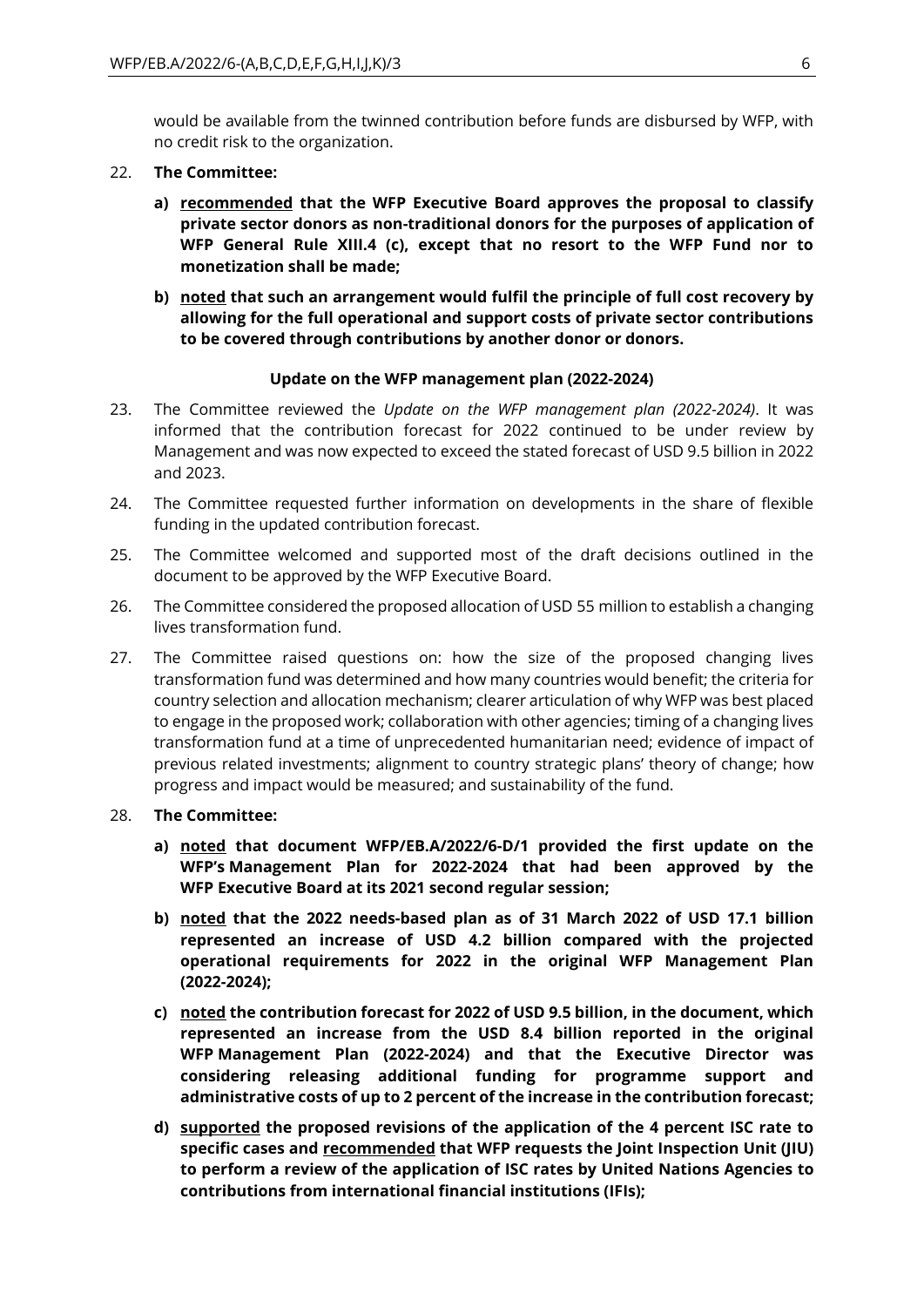would be available from the twinned contribution before funds are disbursed by WFP, with no credit risk to the organization.

#### 22. **The Committee:**

- **a) recommended that the WFP Executive Board approves the proposal to classify private sector donors as non-traditional donors for the purposes of application of WFP General Rule XIII.4 (c), except that no resort to the WFP Fund nor to monetization shall be made;**
- **b) noted that such an arrangement would fulfil the principle of full cost recovery by allowing for the full operational and support costs of private sector contributions to be covered through contributions by another donor or donors.**

#### **Update on the WFP management plan (2022-2024)**

- 23. The Committee reviewed the *Update on the WFP management plan (2022-2024)*. It was informed that the contribution forecast for 2022 continued to be under review by Management and was now expected to exceed the stated forecast of USD 9.5 billion in 2022 and 2023.
- 24. The Committee requested further information on developments in the share of flexible funding in the updated contribution forecast.
- 25. The Committee welcomed and supported most of the draft decisions outlined in the document to be approved by the WFP Executive Board.
- 26. The Committee considered the proposed allocation of USD 55 million to establish a changing lives transformation fund.
- 27. The Committee raised questions on: how the size of the proposed changing lives transformation fund was determined and how many countries would benefit; the criteria for country selection and allocation mechanism; clearer articulation of why WFP was best placed to engage in the proposed work; collaboration with other agencies; timing of a changing lives transformation fund at a time of unprecedented humanitarian need; evidence of impact of previous related investments; alignment to country strategic plans' theory of change; how progress and impact would be measured; and sustainability of the fund.

#### 28. **The Committee:**

- **a) noted that document WFP/EB.A/2022/6-D/1 provided the first update on the WFP's Management Plan for 2022-2024 that had been approved by the WFP Executive Board at its 2021 second regular session;**
- **b) noted that the 2022 needs-based plan as of 31 March 2022 of USD 17.1 billion represented an increase of USD 4.2 billion compared with the projected operational requirements for 2022 in the original WFP Management Plan (2022-2024);**
- **c) noted the contribution forecast for 2022 of USD 9.5 billion, in the document, which represented an increase from the USD 8.4 billion reported in the original WFP Management Plan (2022-2024) and that the Executive Director was considering releasing additional funding for programme support and administrative costs of up to 2 percent of the increase in the contribution forecast;**
- **d) supported the proposed revisions of the application of the 4 percent ISC rate to specific cases and recommended that WFP requests the Joint Inspection Unit (JIU) to perform a review of the application of ISC rates by United Nations Agencies to contributions from international financial institutions (IFIs);**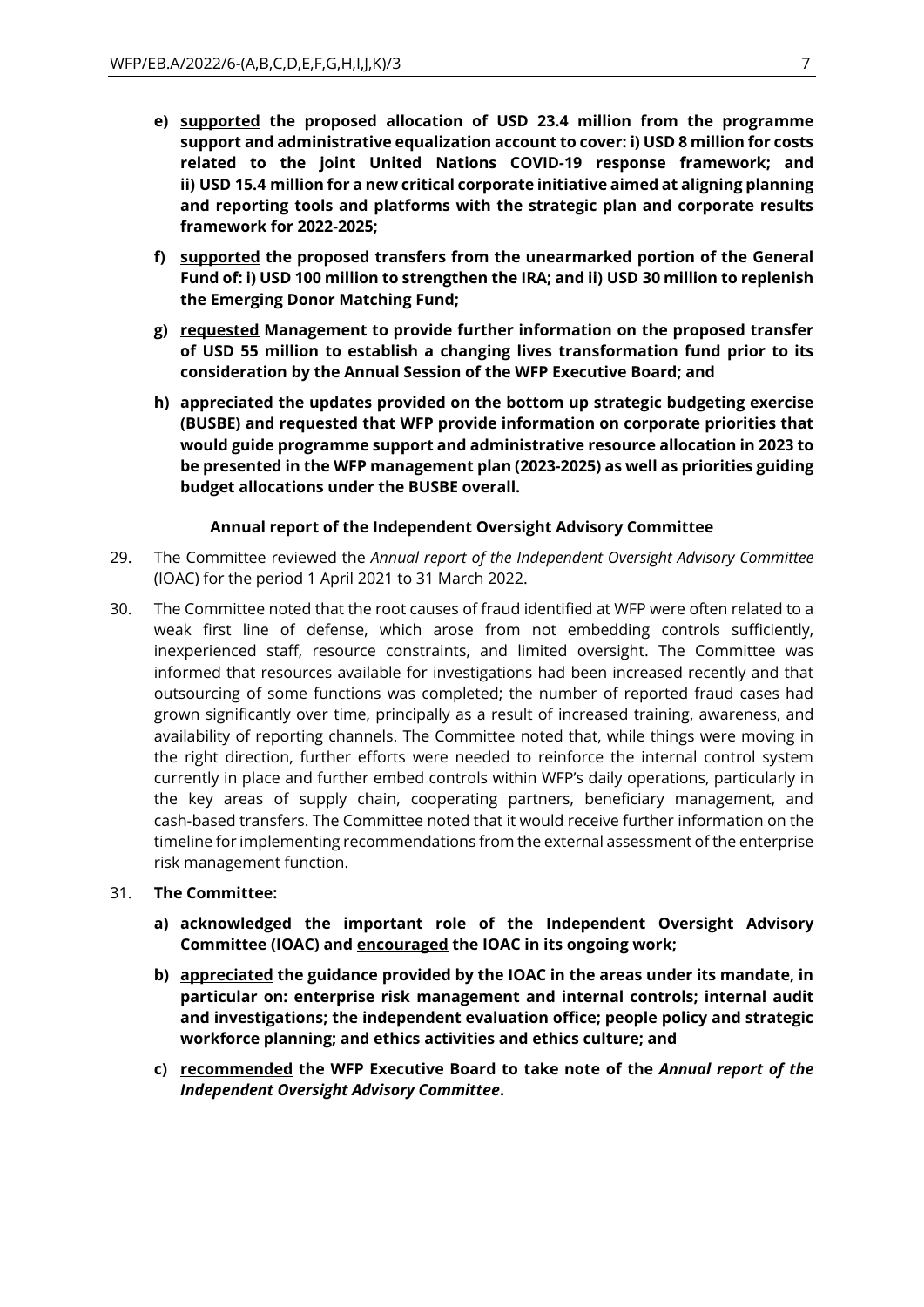- **e) supported the proposed allocation of USD 23.4 million from the programme support and administrative equalization account to cover: i) USD 8 million for costs related to the joint United Nations COVID-19 response framework; and ii) USD 15.4 million for a new critical corporate initiative aimed at aligning planning and reporting tools and platforms with the strategic plan and corporate results framework for 2022-2025;**
- **f) supported the proposed transfers from the unearmarked portion of the General Fund of: i) USD 100 million to strengthen the IRA; and ii) USD 30 million to replenish the Emerging Donor Matching Fund;**
- **g) requested Management to provide further information on the proposed transfer of USD 55 million to establish a changing lives transformation fund prior to its consideration by the Annual Session of the WFP Executive Board; and**
- **h) appreciated the updates provided on the bottom up strategic budgeting exercise (BUSBE) and requested that WFP provide information on corporate priorities that would guide programme support and administrative resource allocation in 2023 to be presented in the WFP management plan (2023-2025) as well as priorities guiding budget allocations under the BUSBE overall.**

#### **Annual report of the Independent Oversight Advisory Committee**

- 29. The Committee reviewed the *Annual report of the Independent Oversight Advisory Committee*  (IOAC) for the period 1 April 2021 to 31 March 2022.
- 30. The Committee noted that the root causes of fraud identified at WFP were often related to a weak first line of defense, which arose from not embedding controls sufficiently, inexperienced staff, resource constraints, and limited oversight. The Committee was informed that resources available for investigations had been increased recently and that outsourcing of some functions was completed; the number of reported fraud cases had grown significantly over time, principally as a result of increased training, awareness, and availability of reporting channels. The Committee noted that, while things were moving in the right direction, further efforts were needed to reinforce the internal control system currently in place and further embed controls within WFP's daily operations, particularly in the key areas of supply chain, cooperating partners, beneficiary management, and cash-based transfers. The Committee noted that it would receive further information on the timeline for implementing recommendations from the external assessment of the enterprise risk management function.

#### 31. **The Committee:**

- **a) acknowledged the important role of the Independent Oversight Advisory Committee (IOAC) and encouraged the IOAC in its ongoing work;**
- **b) appreciated the guidance provided by the IOAC in the areas under its mandate, in particular on: enterprise risk management and internal controls; internal audit and investigations; the independent evaluation office; people policy and strategic workforce planning; and ethics activities and ethics culture; and**
- **c) recommended the WFP Executive Board to take note of the** *Annual report of the Independent Oversight Advisory Committee***.**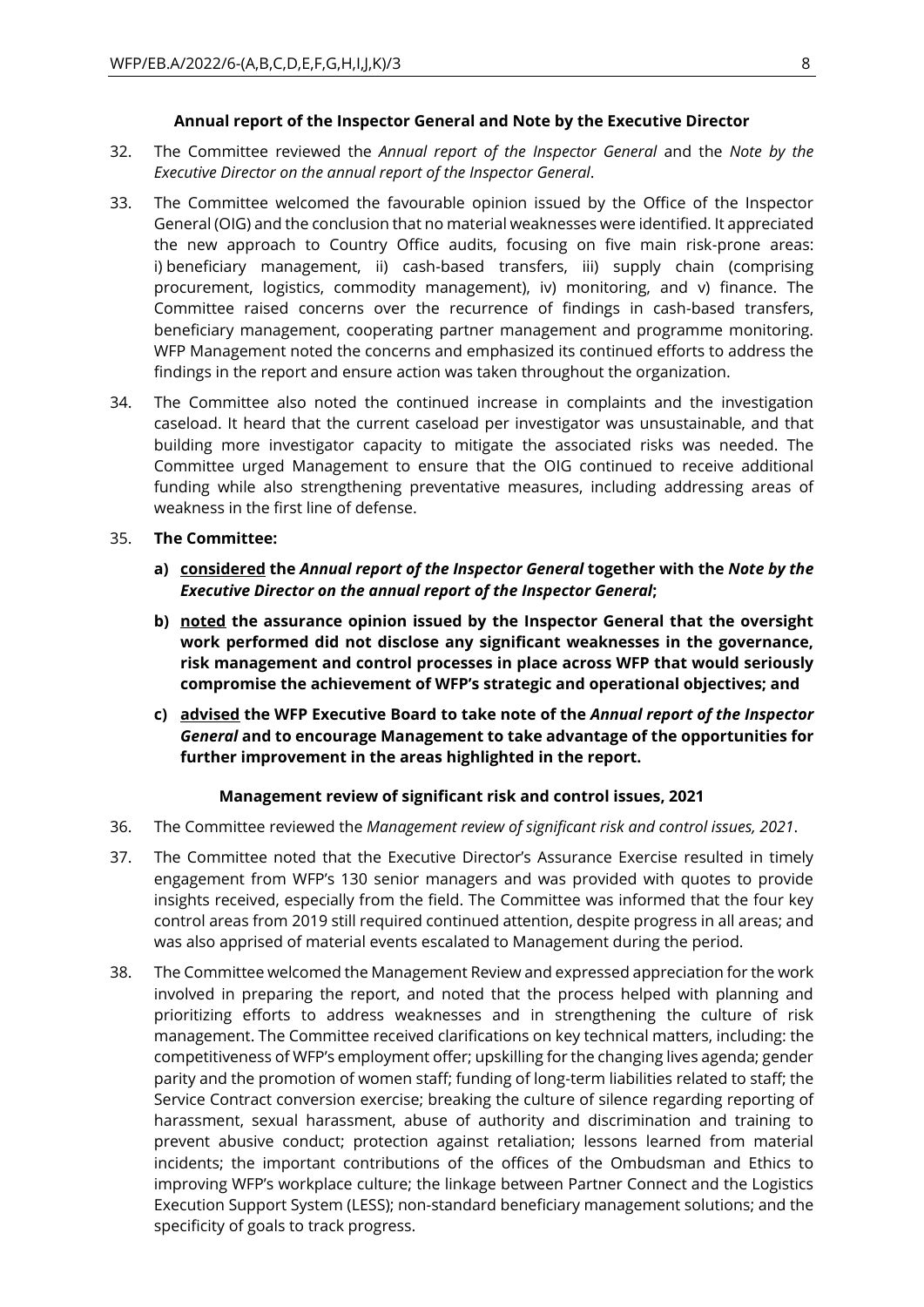#### **Annual report of the Inspector General and Note by the Executive Director**

- 32. The Committee reviewed the *Annual report of the Inspector General* and the *Note by the Executive Director on the annual report of the Inspector General*.
- 33. The Committee welcomed the favourable opinion issued by the Office of the Inspector General (OIG) and the conclusion that no material weaknesses were identified. It appreciated the new approach to Country Office audits, focusing on five main risk-prone areas: i) beneficiary management, ii) cash-based transfers, iii) supply chain (comprising procurement, logistics, commodity management), iv) monitoring, and v) finance. The Committee raised concerns over the recurrence of findings in cash-based transfers, beneficiary management, cooperating partner management and programme monitoring. WFP Management noted the concerns and emphasized its continued efforts to address the findings in the report and ensure action was taken throughout the organization.
- 34. The Committee also noted the continued increase in complaints and the investigation caseload. It heard that the current caseload per investigator was unsustainable, and that building more investigator capacity to mitigate the associated risks was needed. The Committee urged Management to ensure that the OIG continued to receive additional funding while also strengthening preventative measures, including addressing areas of weakness in the first line of defense.
- 35. **The Committee:** 
	- **a) considered the** *Annual report of the Inspector General* **together with the** *Note by the Executive Director on the annual report of the Inspector General***;**
	- **b) noted the assurance opinion issued by the Inspector General that the oversight work performed did not disclose any significant weaknesses in the governance, risk management and control processes in place across WFP that would seriously compromise the achievement of WFP's strategic and operational objectives; and**
	- **c) advised the WFP Executive Board to take note of the** *Annual report of the Inspector General* **and to encourage Management to take advantage of the opportunities for further improvement in the areas highlighted in the report.**

#### **Management review of significant risk and control issues, 2021**

- 36. The Committee reviewed the *Management review of significant risk and control issues, 2021*.
- 37. The Committee noted that the Executive Director's Assurance Exercise resulted in timely engagement from WFP's 130 senior managers and was provided with quotes to provide insights received, especially from the field. The Committee was informed that the four key control areas from 2019 still required continued attention, despite progress in all areas; and was also apprised of material events escalated to Management during the period.
- 38. The Committee welcomed the Management Review and expressed appreciation for the work involved in preparing the report, and noted that the process helped with planning and prioritizing efforts to address weaknesses and in strengthening the culture of risk management. The Committee received clarifications on key technical matters, including: the competitiveness of WFP's employment offer; upskilling for the changing lives agenda; gender parity and the promotion of women staff; funding of long-term liabilities related to staff; the Service Contract conversion exercise; breaking the culture of silence regarding reporting of harassment, sexual harassment, abuse of authority and discrimination and training to prevent abusive conduct; protection against retaliation; lessons learned from material incidents; the important contributions of the offices of the Ombudsman and Ethics to improving WFP's workplace culture; the linkage between Partner Connect and the Logistics Execution Support System (LESS); non-standard beneficiary management solutions; and the specificity of goals to track progress.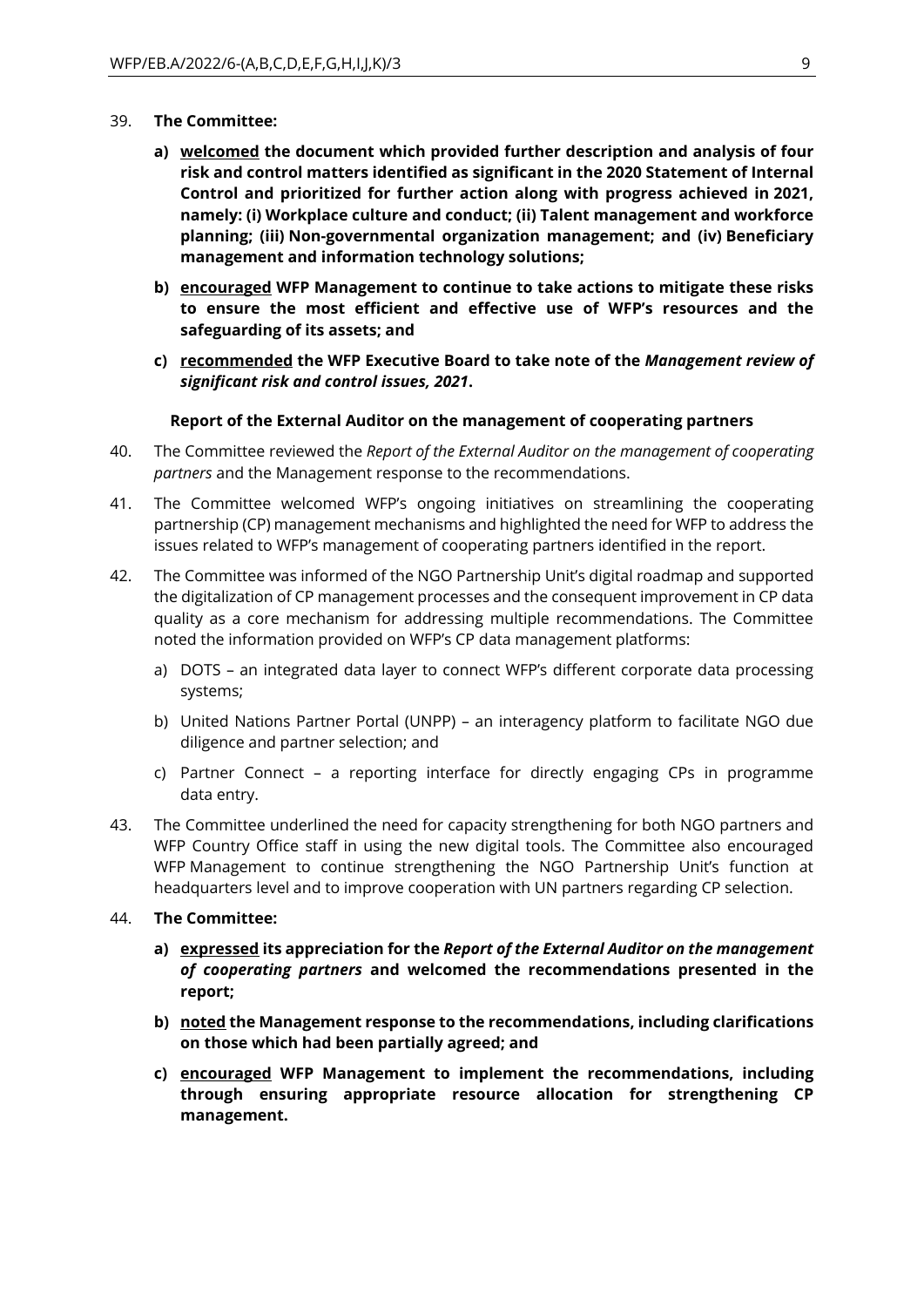- 39. **The Committee:** 
	- **a) welcomed the document which provided further description and analysis of four risk and control matters identified as significant in the 2020 Statement of Internal Control and prioritized for further action along with progress achieved in 2021, namely: (i) Workplace culture and conduct; (ii) Talent management and workforce planning; (iii) Non-governmental organization management; and (iv) Beneficiary management and information technology solutions;**
	- **b) encouraged WFP Management to continue to take actions to mitigate these risks to ensure the most efficient and effective use of WFP's resources and the safeguarding of its assets; and**
	- **c) recommended the WFP Executive Board to take note of the** *Management review of significant risk and control issues, 2021***.**

#### **Report of the External Auditor on the management of cooperating partners**

- 40. The Committee reviewed the *Report of the External Auditor on the management of cooperating partners* and the Management response to the recommendations.
- 41. The Committee welcomed WFP's ongoing initiatives on streamlining the cooperating partnership (CP) management mechanisms and highlighted the need for WFP to address the issues related to WFP's management of cooperating partners identified in the report.
- 42. The Committee was informed of the NGO Partnership Unit's digital roadmap and supported the digitalization of CP management processes and the consequent improvement in CP data quality as a core mechanism for addressing multiple recommendations. The Committee noted the information provided on WFP's CP data management platforms:
	- a) DOTS an integrated data layer to connect WFP's different corporate data processing systems;
	- b) United Nations Partner Portal (UNPP) an interagency platform to facilitate NGO due diligence and partner selection; and
	- c) Partner Connect a reporting interface for directly engaging CPs in programme data entry.
- 43. The Committee underlined the need for capacity strengthening for both NGO partners and WFP Country Office staff in using the new digital tools. The Committee also encouraged WFP Management to continue strengthening the NGO Partnership Unit's function at headquarters level and to improve cooperation with UN partners regarding CP selection.
- 44. **The Committee:** 
	- **a) expressed its appreciation for the** *Report of the External Auditor on the management of cooperating partners* **and welcomed the recommendations presented in the report;**
	- **b) noted the Management response to the recommendations, including clarifications on those which had been partially agreed; and**
	- **c) encouraged WFP Management to implement the recommendations, including through ensuring appropriate resource allocation for strengthening CP management.**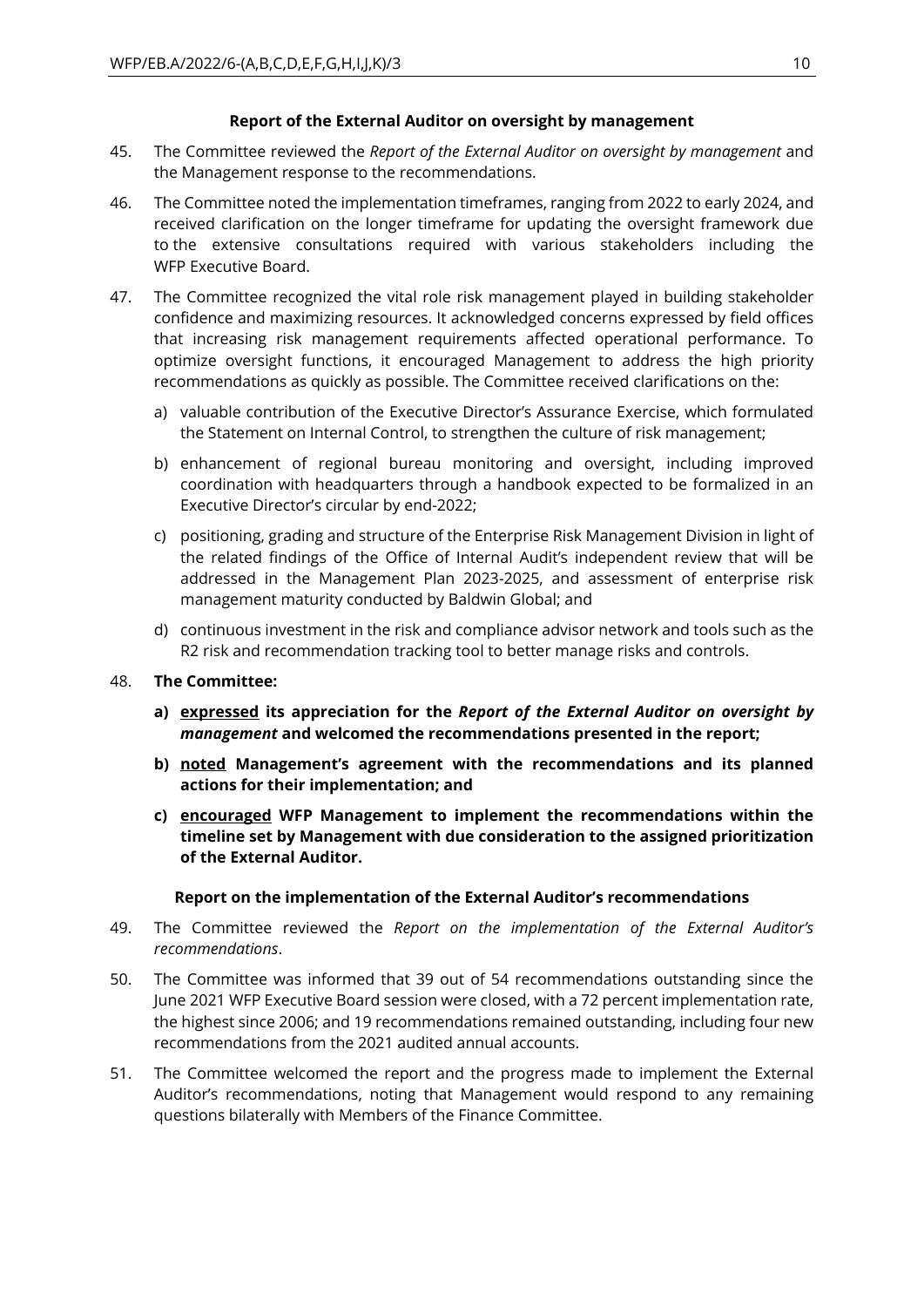#### **Report of the External Auditor on oversight by management**

- 45. The Committee reviewed the *Report of the External Auditor on oversight by management* and the Management response to the recommendations.
- 46. The Committee noted the implementation timeframes, ranging from 2022 to early 2024, and received clarification on the longer timeframe for updating the oversight framework due to the extensive consultations required with various stakeholders including the WFP Executive Board.
- 47. The Committee recognized the vital role risk management played in building stakeholder confidence and maximizing resources. It acknowledged concerns expressed by field offices that increasing risk management requirements affected operational performance. To optimize oversight functions, it encouraged Management to address the high priority recommendations as quickly as possible. The Committee received clarifications on the:
	- a) valuable contribution of the Executive Director's Assurance Exercise, which formulated the Statement on Internal Control, to strengthen the culture of risk management;
	- b) enhancement of regional bureau monitoring and oversight, including improved coordination with headquarters through a handbook expected to be formalized in an Executive Director's circular by end-2022;
	- c) positioning, grading and structure of the Enterprise Risk Management Division in light of the related findings of the Office of Internal Audit's independent review that will be addressed in the Management Plan 2023-2025, and assessment of enterprise risk management maturity conducted by Baldwin Global; and
	- d) continuous investment in the risk and compliance advisor network and tools such as the R2 risk and recommendation tracking tool to better manage risks and controls.
- 48. **The Committee:** 
	- **a) expressed its appreciation for the** *Report of the External Auditor on oversight by management* **and welcomed the recommendations presented in the report;**
	- **b) noted Management's agreement with the recommendations and its planned actions for their implementation; and**
	- **c) encouraged WFP Management to implement the recommendations within the timeline set by Management with due consideration to the assigned prioritization of the External Auditor.**

#### **Report on the implementation of the External Auditor's recommendations**

- 49. The Committee reviewed the *Report on the implementation of the External Auditor's recommendations*.
- 50. The Committee was informed that 39 out of 54 recommendations outstanding since the June 2021 WFP Executive Board session were closed, with a 72 percent implementation rate, the highest since 2006; and 19 recommendations remained outstanding, including four new recommendations from the 2021 audited annual accounts.
- 51. The Committee welcomed the report and the progress made to implement the External Auditor's recommendations, noting that Management would respond to any remaining questions bilaterally with Members of the Finance Committee.